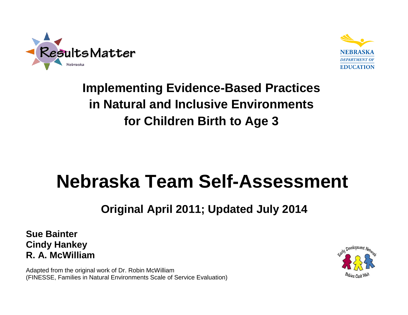



# **Implementing Evidence-Based Practices in Natural and Inclusive Environments for Children Birth to Age 3**

# **Nebraska Team Self-Assessment**

## **Original April 2011; Updated July 2014**

**Sue Bainter Cindy Hankey R. A. McWilliam**

Adapted from the original work of Dr. Robin McWilliam (FINESSE, Families in Natural Environments Scale of Service Evaluation)

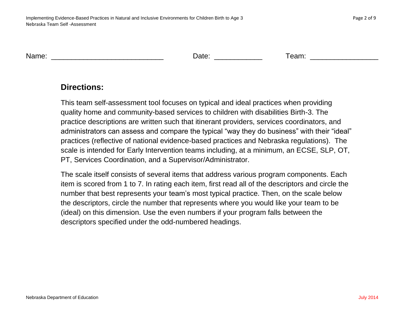Name: Team: The Contract of the Contract of Contract of Contract of Contract of Contract of Contract of Contract of Contract of Contract of Contract of Contract of Contract of Contract of Contract of Contract of Contract o

#### **Directions:**

This team self-assessment tool focuses on typical and ideal practices when providing quality home and community-based services to children with disabilities Birth-3. The practice descriptions are written such that itinerant providers, services coordinators, and administrators can assess and compare the typical "way they do business" with their "ideal" practices (reflective of national evidence-based practices and Nebraska regulations). The scale is intended for Early Intervention teams including, at a minimum, an ECSE, SLP, OT, PT, Services Coordination, and a Supervisor/Administrator.

The scale itself consists of several items that address various program components. Each item is scored from 1 to 7. In rating each item, first read all of the descriptors and circle the number that best represents your team's most typical practice. Then, on the scale below the descriptors, circle the number that represents where you would like your team to be (ideal) on this dimension. Use the even numbers if your program falls between the descriptors specified under the odd-numbered headings.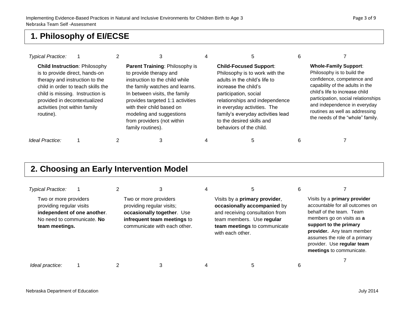#### **1. Philosophy of EI/ECSE**

| <b>Typical Practice:</b>                                                                                                                                                           |                                                                            |                                                                                                                                                                                                                                                                                                               |                                                                                                                                                                                                                                                                                                                 |                                                                                                                                                                                                                                                                                                            |
|------------------------------------------------------------------------------------------------------------------------------------------------------------------------------------|----------------------------------------------------------------------------|---------------------------------------------------------------------------------------------------------------------------------------------------------------------------------------------------------------------------------------------------------------------------------------------------------------|-----------------------------------------------------------------------------------------------------------------------------------------------------------------------------------------------------------------------------------------------------------------------------------------------------------------|------------------------------------------------------------------------------------------------------------------------------------------------------------------------------------------------------------------------------------------------------------------------------------------------------------|
| is to provide direct, hands-on<br>therapy and instruction to the<br>child is missing. Instruction is<br>provided in decontextualized<br>activities (not within family<br>routine). | <b>Child Instruction: Philosophy</b><br>child in order to teach skills the | Parent Training: Philosophy is<br>to provide therapy and<br>instruction to the child while<br>the family watches and learns.<br>In between visits, the family<br>provides targeted 1:1 activities<br>with their child based on<br>modeling and suggestions<br>from providers (not within<br>family routines). | <b>Child-Focused Support:</b><br>Philosophy is to work with the<br>adults in the child's life to<br>increase the child's<br>participation, social<br>relationships and independence<br>in everyday activities. The<br>family's everyday activities lead<br>to the desired skills and<br>behaviors of the child. | <b>Whole-Family Support:</b><br>Philosophy is to build the<br>confidence, competence and<br>capability of the adults in the<br>child's life to increase child<br>participation, social relationships<br>and independence in everyday<br>routines as well as addressing<br>the needs of the "whole" family. |
| Ideal Practice:                                                                                                                                                                    |                                                                            |                                                                                                                                                                                                                                                                                                               |                                                                                                                                                                                                                                                                                                                 |                                                                                                                                                                                                                                                                                                            |

#### **2. Choosing an Early Intervention Model**

| <b>Typical Practice:</b>                                            |                                                           |                                                                                                                                                 | 5                                                                                                                                                                                | h |                                                                                                                                                                                                                                                                            |
|---------------------------------------------------------------------|-----------------------------------------------------------|-------------------------------------------------------------------------------------------------------------------------------------------------|----------------------------------------------------------------------------------------------------------------------------------------------------------------------------------|---|----------------------------------------------------------------------------------------------------------------------------------------------------------------------------------------------------------------------------------------------------------------------------|
| Two or more providers<br>providing regular visits<br>team meetings. | independent of one another.<br>No need to communicate. No | Two or more providers<br>providing regular visits;<br>occasionally together. Use<br>infrequent team meetings to<br>communicate with each other. | Visits by a primary provider,<br>occasionally accompanied by<br>and receiving consultation from<br>team members. Use regular<br>team meetings to communicate<br>with each other. |   | Visits by a primary provider<br>accountable for all outcomes on<br>behalf of the team. Team<br>members go on visits as a<br>support to the primary<br>provider. Any team member<br>assumes the role of a primary<br>provider. Use regular team<br>meetings to communicate. |
| Ideal practice:                                                     |                                                           |                                                                                                                                                 |                                                                                                                                                                                  |   |                                                                                                                                                                                                                                                                            |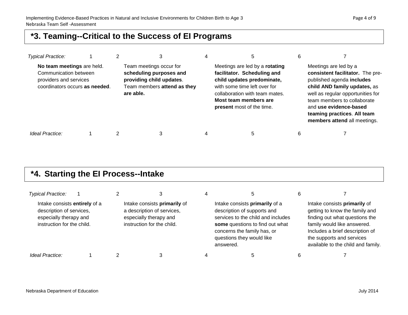#### **\*3. Teaming--Critical to the Success of EI Programs**

| <b>Typical Practice:</b>                                                                                        |  | 3                                                                                                                          | 4 | 5                                                                                                                                                                                                                          | 6 |                                                                                                                                                                                                                                                                                     |
|-----------------------------------------------------------------------------------------------------------------|--|----------------------------------------------------------------------------------------------------------------------------|---|----------------------------------------------------------------------------------------------------------------------------------------------------------------------------------------------------------------------------|---|-------------------------------------------------------------------------------------------------------------------------------------------------------------------------------------------------------------------------------------------------------------------------------------|
| No team meetings are held.<br>Communication between<br>providers and services<br>coordinators occurs as needed. |  | Team meetings occur for<br>scheduling purposes and<br>providing child updates.<br>Team members attend as they<br>are able. |   | Meetings are led by a rotating<br>facilitator. Scheduling and<br>child updates predominate,<br>with some time left over for<br>collaboration with team mates.<br>Most team members are<br><b>present</b> most of the time. |   | Meetings are led by a<br>consistent facilitator. The pre-<br>published agenda includes<br>child AND family updates, as<br>well as regular opportunities for<br>team members to collaborate<br>and use evidence-based<br>teaming practices. All team<br>members attend all meetings. |
| Ideal Practice:                                                                                                 |  | 3                                                                                                                          | 4 | 5                                                                                                                                                                                                                          | 6 |                                                                                                                                                                                                                                                                                     |

### **\*4. Starting the EI Process--Intake**

| <b>Typical Practice:</b>                                                                                          |  |                                                                                                                    | 5                                                                                                                                                                                                               |                                                                                                                                                                                                                                       |
|-------------------------------------------------------------------------------------------------------------------|--|--------------------------------------------------------------------------------------------------------------------|-----------------------------------------------------------------------------------------------------------------------------------------------------------------------------------------------------------------|---------------------------------------------------------------------------------------------------------------------------------------------------------------------------------------------------------------------------------------|
| Intake consists entirely of a<br>description of services,<br>especially therapy and<br>instruction for the child. |  | Intake consists primarily of<br>a description of services,<br>especially therapy and<br>instruction for the child. | Intake consists primarily of a<br>description of supports and<br>services to the child and includes<br>some questions to find out what<br>concerns the family has, or<br>questions they would like<br>answered. | Intake consists primarily of<br>getting to know the family and<br>finding out what questions the<br>family would like answered.<br>Includes a brief description of<br>the supports and services<br>available to the child and family. |
| Ideal Practice:                                                                                                   |  |                                                                                                                    |                                                                                                                                                                                                                 |                                                                                                                                                                                                                                       |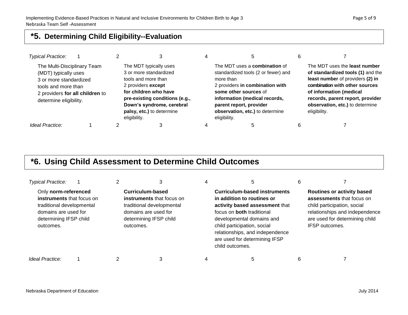#### **\*5. Determining Child Eligibility--Evaluation**

| <b>Typical Practice:</b>                                                                                                                                          |  |                                                                                                                                                                                                                                    |                                                                                                                                                                                                                                                                     |                                                                                                                                                                                                                                                            |
|-------------------------------------------------------------------------------------------------------------------------------------------------------------------|--|------------------------------------------------------------------------------------------------------------------------------------------------------------------------------------------------------------------------------------|---------------------------------------------------------------------------------------------------------------------------------------------------------------------------------------------------------------------------------------------------------------------|------------------------------------------------------------------------------------------------------------------------------------------------------------------------------------------------------------------------------------------------------------|
| The Multi-Disciplinary Team<br>(MDT) typically uses<br>3 or more standardized<br>tools and more than<br>2 providers for all children to<br>determine eligibility. |  | The MDT typically uses<br>3 or more standardized<br>tools and more than<br>2 providers except<br>for children who have<br>pre-existing conditions (e.g.,<br>Down's syndrome, cerebral<br>palsy, etc.) to determine<br>eligibility. | The MDT uses a <b>combination</b> of<br>standardized tools (2 or fewer) and<br>more than<br>2 providers in combination with<br>some other sources of<br>information (medical records,<br>parent report, provider<br>observation, etc.) to determine<br>eligibility. | The MDT uses the least number<br>of standardized tools (1) and the<br>least number of providers (2) in<br>combination with other sources<br>of information (medical<br>records, parent report, provider<br>observation, etc.) to determine<br>eligibility. |
| Ideal Practice:                                                                                                                                                   |  |                                                                                                                                                                                                                                    |                                                                                                                                                                                                                                                                     |                                                                                                                                                                                                                                                            |

#### **\*6. Using Child Assessment to Determine Child Outcomes**

| <b>Typical Practice:</b>                                                                                                                             |           | З                                                                                                                                   | 5                                                                                                                                                                                                                                                                                          | 6 |                                                                                                                                                                                            |
|------------------------------------------------------------------------------------------------------------------------------------------------------|-----------|-------------------------------------------------------------------------------------------------------------------------------------|--------------------------------------------------------------------------------------------------------------------------------------------------------------------------------------------------------------------------------------------------------------------------------------------|---|--------------------------------------------------------------------------------------------------------------------------------------------------------------------------------------------|
| Only norm-referenced<br><b>instruments</b> that focus on<br>traditional developmental<br>domains are used for<br>determining IFSP child<br>outcomes. | outcomes. | Curriculum-based<br><b>instruments</b> that focus on<br>traditional developmental<br>domains are used for<br>determining IFSP child | <b>Curriculum-based instruments</b><br>in addition to routines or<br>activity based assessment that<br>focus on <b>both</b> traditional<br>developmental domains and<br>child participation, social<br>relationships, and independence<br>are used for determining IFSP<br>child outcomes. |   | <b>Routines or activity based</b><br>assessments that focus on<br>child participation, social<br>relationships and independence<br>are used for determining child<br><b>IFSP</b> outcomes. |
| Ideal Practice:                                                                                                                                      |           |                                                                                                                                     |                                                                                                                                                                                                                                                                                            |   |                                                                                                                                                                                            |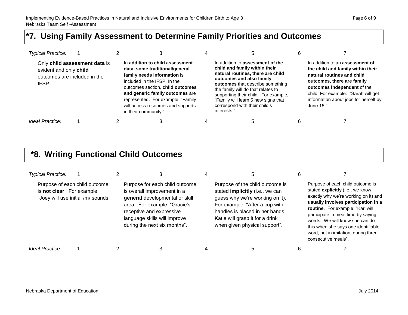#### **\*7. Using Family Assessment to Determine Family Priorities and Outcomes**

| <b>Typical Practice:</b>                                        |                               |                                                                                                                                                                                                                                                                                                            |                                                                                                                                                                                                                                                                                                                                             |                                                                                                                                                                                                                                                              |
|-----------------------------------------------------------------|-------------------------------|------------------------------------------------------------------------------------------------------------------------------------------------------------------------------------------------------------------------------------------------------------------------------------------------------------|---------------------------------------------------------------------------------------------------------------------------------------------------------------------------------------------------------------------------------------------------------------------------------------------------------------------------------------------|--------------------------------------------------------------------------------------------------------------------------------------------------------------------------------------------------------------------------------------------------------------|
| evident and only child<br>outcomes are included in the<br>IFSP. | Only child assessment data is | In addition to child assessment<br>data, some traditional/general<br>family needs information is<br>included in the IFSP. In the<br>outcomes section, child outcomes<br>and generic family outcomes are<br>represented. For example, "Family<br>will access resources and supports<br>in their community." | In addition to assessment of the<br>child and family within their<br>natural routines, there are child<br>outcomes and also family<br>outcomes that describe something<br>the family will do that relates to<br>supporting their child. For example,<br>"Family will learn 5 new signs that<br>correspond with their child's<br>interests." | In addition to an assessment of<br>the child and family within their<br>natural routines and child<br>outcomes, there are family<br>outcomes independent of the<br>child. For example: "Sarah will get<br>information about jobs for herself by<br>June 15." |
| Ideal Practice:                                                 |                               |                                                                                                                                                                                                                                                                                                            |                                                                                                                                                                                                                                                                                                                                             |                                                                                                                                                                                                                                                              |

#### **\*8. Writing Functional Child Outcomes**

| <b>Typical Practice:</b>                                    |                                    |                                                                                                                                                                                                                             |                                                                                                                                                                                                                                                |                                                                                                                                                                                                                                                                                                                                                                       |
|-------------------------------------------------------------|------------------------------------|-----------------------------------------------------------------------------------------------------------------------------------------------------------------------------------------------------------------------------|------------------------------------------------------------------------------------------------------------------------------------------------------------------------------------------------------------------------------------------------|-----------------------------------------------------------------------------------------------------------------------------------------------------------------------------------------------------------------------------------------------------------------------------------------------------------------------------------------------------------------------|
| Purpose of each child outcome<br>is not clear. For example: | "Joey will use initial /m/ sounds. | Purpose for each child outcome<br>is overall improvement in a<br>general developmental or skill<br>area. For example: "Gracie's<br>receptive and expressive<br>language skills will improve<br>during the next six months". | Purpose of the child outcome is<br>stated implicitly (i.e., we can<br>guess why we're working on it).<br>For example: "After a cup with<br>handles is placed in her hands,<br>Katie will grasp it for a drink<br>when given physical support". | Purpose of each child outcome is<br>stated explicitly (i.e., we know<br>exactly why we're working on it) and<br>usually involves participation in a<br>routine. For example: "Kari will<br>participate in meal time by saying<br>words. We will know she can do<br>this when she says one identifiable<br>word, not in imitation, during three<br>consecutive meals". |
| Ideal Practice:                                             |                                    |                                                                                                                                                                                                                             |                                                                                                                                                                                                                                                |                                                                                                                                                                                                                                                                                                                                                                       |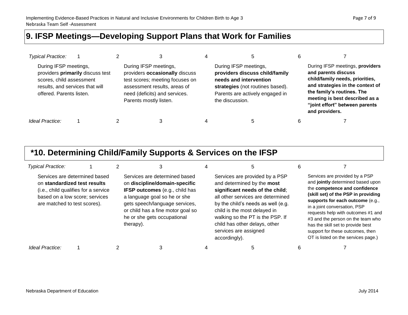#### **9. IFSP Meetings—Developing Support Plans that Work for Families**

| <b>Typical Practice:</b>                                                                                         |                                  |                                                                                                                                                                                       |                                                                                                                                                                             |                                                                                                                                                                                                                                                   |
|------------------------------------------------------------------------------------------------------------------|----------------------------------|---------------------------------------------------------------------------------------------------------------------------------------------------------------------------------------|-----------------------------------------------------------------------------------------------------------------------------------------------------------------------------|---------------------------------------------------------------------------------------------------------------------------------------------------------------------------------------------------------------------------------------------------|
| During IFSP meetings,<br>scores, child assessment<br>results, and services that will<br>offered. Parents listen. | providers primarily discuss test | During IFSP meetings,<br>providers occasionally discuss<br>test scores; meeting focuses on<br>assessment results, areas of<br>need (deficits) and services.<br>Parents mostly listen. | During IFSP meetings,<br>providers discuss child/family<br>needs and intervention<br>strategies (not routines based).<br>Parents are actively engaged in<br>the discussion. | During IFSP meetings, providers<br>and parents discuss<br>child/family needs, priorities,<br>and strategies in the context of<br>the family's routines. The<br>meeting is best described as a<br>"joint effort" between parents<br>and providers. |
| Ideal Practice:                                                                                                  |                                  |                                                                                                                                                                                       |                                                                                                                                                                             |                                                                                                                                                                                                                                                   |

#### **\*10. Determining Child/Family Supports & Services on the IFSP**

| <b>Typical Practice:</b>                                     |                                                                                                         |                                                                                                                                                                                                                                                            |                                                                                                                                                                                                                                                                                                                           | 6 |                                                                                                                                                                                                                                                                                                                                                                                                            |
|--------------------------------------------------------------|---------------------------------------------------------------------------------------------------------|------------------------------------------------------------------------------------------------------------------------------------------------------------------------------------------------------------------------------------------------------------|---------------------------------------------------------------------------------------------------------------------------------------------------------------------------------------------------------------------------------------------------------------------------------------------------------------------------|---|------------------------------------------------------------------------------------------------------------------------------------------------------------------------------------------------------------------------------------------------------------------------------------------------------------------------------------------------------------------------------------------------------------|
| on standardized test results<br>are matched to test scores). | Services are determined based<br>(i.e., child qualifies for a service<br>based on a low score; services | Services are determined based<br>on discipline/domain-specific<br><b>IFSP outcomes</b> (e.g., child has<br>a language goal so he or she<br>gets speech/language services,<br>or child has a fine motor goal so<br>he or she gets occupational<br>therapy). | Services are provided by a PSP<br>and determined by the most<br>significant needs of the child;<br>all other services are determined<br>by the child's needs as well (e.g.<br>child is the most delayed in<br>walking so the PT is the PSP. If<br>child has other delays, other<br>services are assigned<br>accordingly). |   | Services are provided by a PSP<br>and jointly determined based upon<br>the competence and confidence<br>(skill set) of the PSP in providing<br>supports for each outcome (e.g.,<br>in a joint conversation, PSP<br>requests help with outcomes #1 and<br>#3 and the person on the team who<br>has the skill set to provide best<br>support for these outcomes, then<br>OT is listed on the services page.) |
| Ideal Practice:                                              |                                                                                                         |                                                                                                                                                                                                                                                            |                                                                                                                                                                                                                                                                                                                           | n |                                                                                                                                                                                                                                                                                                                                                                                                            |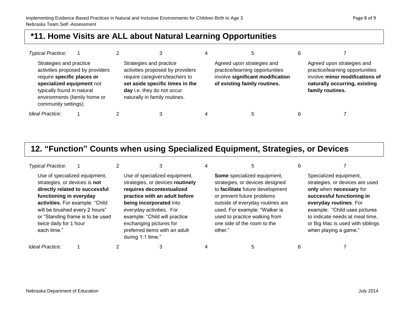#### **\*11. Home Visits are ALL about Natural Learning Opportunities**

| <b>Typical Practice:</b>                                                                                                                                                 |                                  |                                                                                                                                                                                                 |   |                                                                                                                                   |                                                                                                                                                      |
|--------------------------------------------------------------------------------------------------------------------------------------------------------------------------|----------------------------------|-------------------------------------------------------------------------------------------------------------------------------------------------------------------------------------------------|---|-----------------------------------------------------------------------------------------------------------------------------------|------------------------------------------------------------------------------------------------------------------------------------------------------|
| Strategies and practice<br>require specific places or<br>specialized equipment not<br>typically found in natural<br>environments (family home or<br>community settings). | activities proposed by providers | Strategies and practice<br>activities proposed by providers<br>require caregivers/teachers to<br>set aside specific times in the<br>day i.e. they do not occur<br>naturally in family routines. |   | Agreed upon strategies and<br>practice/learning opportunities<br>involve significant modification<br>of existing family routines. | Agreed upon strategies and<br>practice/learning opportunities<br>involve minor modifications of<br>naturally occurring, existing<br>family routines. |
| Ideal Practice:                                                                                                                                                          |                                  |                                                                                                                                                                                                 | 4 |                                                                                                                                   |                                                                                                                                                      |

### **12. "Function" Counts when using Specialized Equipment, Strategies, or Devices**

| <b>Typical Practice:</b>                                                                                                            |                                                                                                                                        |                                                                                                                                                                                                                                                                                                          |                                                                                                                                                                                                                                                                                  |                                                                                                                                                                                                                                                                              |
|-------------------------------------------------------------------------------------------------------------------------------------|----------------------------------------------------------------------------------------------------------------------------------------|----------------------------------------------------------------------------------------------------------------------------------------------------------------------------------------------------------------------------------------------------------------------------------------------------------|----------------------------------------------------------------------------------------------------------------------------------------------------------------------------------------------------------------------------------------------------------------------------------|------------------------------------------------------------------------------------------------------------------------------------------------------------------------------------------------------------------------------------------------------------------------------|
| strategies, or devices is not<br>functioning in everyday<br>will be brushed every 2 hours"<br>twice daily for 1 hour<br>each time." | Use of specialized equipment,<br>directly related to successful<br>activities. For example: "Child<br>or "Standing frame is to be used | Use of specialized equipment,<br>strategies, or devices routinely<br>requires decontextualized<br>practice with an adult before<br>being incorporated into<br>everyday activities. For<br>example: "Child will practice<br>exchanging pictures for<br>preferred items with an adult<br>during 1:1 time." | Some specialized equipment,<br>strategies, or devices designed<br>to facilitate future development<br>or prevent future problems<br>outside of everyday routines are<br>used. For example: "Walker is<br>used to practice walking from<br>one side of the room to the<br>other." | Specialized equipment,<br>strategies, or devices are used<br>only when necessary for<br>successful functioning in<br>everyday routines. For<br>example: "Child uses pictures<br>to indicate needs at meal time,<br>or Big Mac is used with siblings<br>when playing a game." |
| Ideal Practice:                                                                                                                     |                                                                                                                                        |                                                                                                                                                                                                                                                                                                          |                                                                                                                                                                                                                                                                                  |                                                                                                                                                                                                                                                                              |